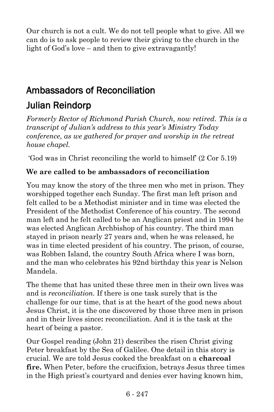Our church is not a cult. We do not tell people what to give. All we can do is to ask people to review their giving to the church in the light of God's love – and then to give extravagantly!

## Ambassadors of Reconciliation

## Julian Reindorp

*Formerly Rector of Richmond Parish Church, now retired. This is a transcript of Julian's address to this year's Ministry Today conference, as we gathered for prayer and worship in the retreat house chapel.*

'God was in Christ reconciling the world to himself' (2 Cor 5.19)

### **We are called to be ambassadors of reconciliation**

You may know the story of the three men who met in prison. They worshipped together each Sunday. The first man left prison and felt called to be a Methodist minister and in time was elected the President of the Methodist Conference of his country. The second man left and he felt called to be an Anglican priest and in 1994 he was elected Anglican Archbishop of his country. The third man stayed in prison nearly 27 years and, when he was released, he was in time elected president of his country. The prison, of course, was Robben Island, the country South Africa where I was born, and the man who celebrates his 92nd birthday this year is Nelson Mandela.

The theme that has united these three men in their own lives was and is *reconciliation.* If there is one task surely that is the challenge for our time, that is at the heart of the good news about Jesus Christ, it is the one discovered by those three men in prison and in their lives since**:** reconciliation. And it is the task at the heart of being a pastor.

Our Gospel reading (John 21) describes the risen Christ giving Peter breakfast by the Sea of Galilee. One detail in this story is crucial. We are told Jesus cooked the breakfast on a **charcoal fire.** When Peter, before the crucifixion, betrays Jesus three times in the High priest's courtyard and denies ever having known him,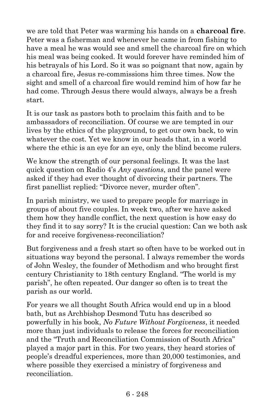we are told that Peter was warming his hands on a **charcoal fire**. Peter was a fisherman and whenever he came in from fishing to have a meal he was would see and smell the charcoal fire on which his meal was being cooked. It would forever have reminded him of his betrayals of his Lord. So it was so poignant that now, again by a charcoal fire, Jesus re-commissions him three times. Now the sight and smell of a charcoal fire would remind him of how far he had come. Through Jesus there would always, always be a fresh start.

It is our task as pastors both to proclaim this faith and to be ambassadors of reconciliation. Of course we are tempted in our lives by the ethics of the playground, to get our own back, to win whatever the cost. Yet we know in our heads that, in a world where the ethic is an eye for an eye, only the blind become rulers.

We know the strength of our personal feelings. It was the last quick question on Radio 4's *Any questions*, and the panel were asked if they had ever thought of divorcing their partners. The first panellist replied: "Divorce never, murder often".

In parish ministry, we used to prepare people for marriage in groups of about five couples. In week two, after we have asked them how they handle conflict, the next question is how easy do they find it to say sorry? It is the crucial question: Can we both ask for and receive forgiveness-reconciliation?

But forgiveness and a fresh start so often have to be worked out in situations way beyond the personal. I always remember the words of John Wesley, the founder of Methodism and who brought first century Christianity to 18th century England. "The world is my parish", he often repeated. Our danger so often is to treat the parish as our world.

For years we all thought South Africa would end up in a blood bath, but as Archbishop Desmond Tutu has described so powerfully in his book, *No Future Without Forgiveness*, it needed more than just individuals to release the forces for reconciliation and the "Truth and Reconciliation Commission of South Africa" played a major part in this. For two years, they heard stories of people's dreadful experiences, more than 20,000 testimonies, and where possible they exercised a ministry of forgiveness and reconciliation.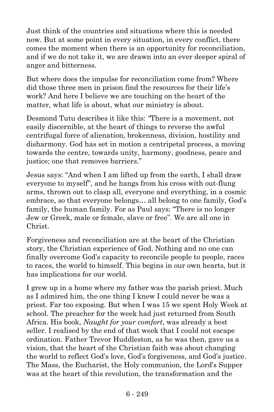Just think of the countries and situations where this is needed now. But at some point in every situation, in every conflict, there comes the moment when there is an opportunity for reconciliation, and if we do not take it, we are drawn into an ever deeper spiral of anger and bitterness.

But where does the impulse for reconciliation come from? Where did those three men in prison find the resources for their life's work? And here I believe we are touching on the heart of the matter, what life is about, what our ministry is about.

Desmond Tutu describes it like this: *"*There is a movement, not easily discernible, at the heart of things to reverse the awful centrifugal force of alienation, brokenness, division, hostility and disharmony. God has set in motion a centripetal process, a moving towards the centre, towards unity, harmony, goodness, peace and justice; one that removes barriers."

Jesus says: "And when I am lifted up from the earth, I shall draw everyone to myself", and he hangs from his cross with out-flung arms, thrown out to clasp all, everyone and everything, in a cosmic embrace, so that everyone belongs… all belong to one family, God's family, the human family. For as Paul says: "There is no longer Jew or Greek, male or female, slave or free". We are all one in Christ.

Forgiveness and reconciliation are at the heart of the Christian story, the Christian experience of God. Nothing and no one can finally overcome God's capacity to reconcile people to people, races to races, the world to himself. This begins in our own hearts, but it has implications for our world.

I grew up in a home where my father was the parish priest. Much as I admired him, the one thing I knew I could never be was a priest. Far too exposing. But when I was 15 we spent Holy Week at school. The preacher for the week had just returned from South Africa. His book, *Naught for your comfort*, was already a best seller. I realised by the end of that week that I could not escape ordination. Father Trevor Huddleston, as he was then, gave us a vision, that the heart of the Christian faith was about changing the world to reflect God's love, God's forgiveness, and God's justice. The Mass, the Eucharist, the Holy communion, the Lord's Supper was at the heart of this revolution, the transformation and the